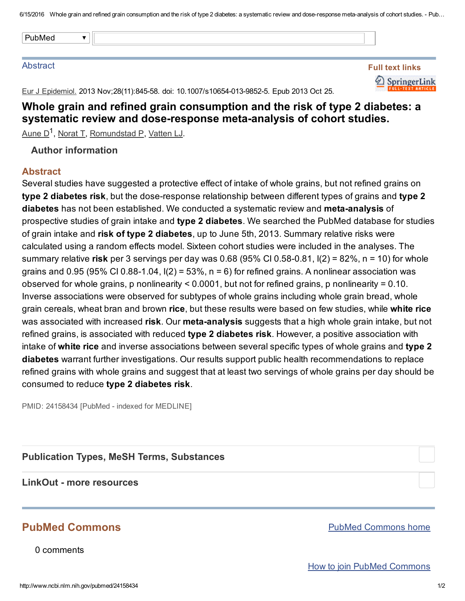6/15/2016 Whole grain and refined grain consumption and the risk of type 2 diabetes: a systematic review and dose-response meta-analysis of cohort studies. - Pub...

#### **Abstract**

| Full text links |                      |  |
|-----------------|----------------------|--|
|                 | SpringerLink         |  |
|                 | <b>LL-TEXT ARTIC</b> |  |

Eur J Epidemiol. 2013 Nov; 28(11): 845-58. doi: 10.1007/s10654-013-9852-5. Epub 2013 Oct 25.

# Whole grain and refined grain consumption and the risk of type 2 diabetes: a systematic review and dose-response meta-analysis of cohort studies.

[Aune](http://www.ncbi.nlm.nih.gov/pubmed/?term=Aune%20D%5BAuthor%5D&cauthor=true&cauthor_uid=24158434) D<sup>1</sup>, [Norat](http://www.ncbi.nlm.nih.gov/pubmed/?term=Norat%20T%5BAuthor%5D&cauthor=true&cauthor_uid=24158434) T, [Romundstad](http://www.ncbi.nlm.nih.gov/pubmed/?term=Romundstad%20P%5BAuthor%5D&cauthor=true&cauthor_uid=24158434) P, [Vatten](http://www.ncbi.nlm.nih.gov/pubmed/?term=Vatten%20LJ%5BAuthor%5D&cauthor=true&cauthor_uid=24158434) LJ.

## Author information

### **Abstract**

Several studies have suggested a protective effect of intake of whole grains, but not refined grains on type 2 diabetes risk, but the dose-response relationship between different types of grains and type 2 diabetes has not been established. We conducted a systematic review and meta-analysis of prospective studies of grain intake and type 2 diabetes. We searched the PubMed database for studies of grain intake and risk of type 2 diabetes, up to June 5th, 2013. Summary relative risks were calculated using a random effects model. Sixteen cohort studies were included in the analyses. The summary relative risk per 3 servings per day was  $0.68$  (95% CI 0.58-0.81, I(2) = 82%, n = 10) for whole grains and 0.95 (95% CI 0.88-1.04,  $I(2) = 53%$ , n = 6) for refined grains. A nonlinear association was observed for whole grains, p nonlinearity < 0.0001, but not for refined grains, p nonlinearity = 0.10. Inverse associations were observed for subtypes of whole grains including whole grain bread, whole grain cereals, wheat bran and brown rice, but these results were based on few studies, while white rice was associated with increased risk. Our meta-analysis suggests that a high whole grain intake, but not refined grains, is associated with reduced type 2 diabetes risk. However, a positive association with intake of white rice and inverse associations between several specific types of whole grains and type 2 diabetes warrant further investigations. Our results support public health recommendations to replace refined grains with whole grains and suggest that at least two servings of whole grains per day should be consumed to reduce type 2 diabetes risk.

PMID: 24158434 [PubMed - indexed for MEDLINE]

Publication Types, MeSH Terms, Substances

#### LinkOut - more resources

## PubMed Commons

0 comments

PubMed [Commons](http://www.ncbi.nlm.nih.gov/pubmedcommons/) home